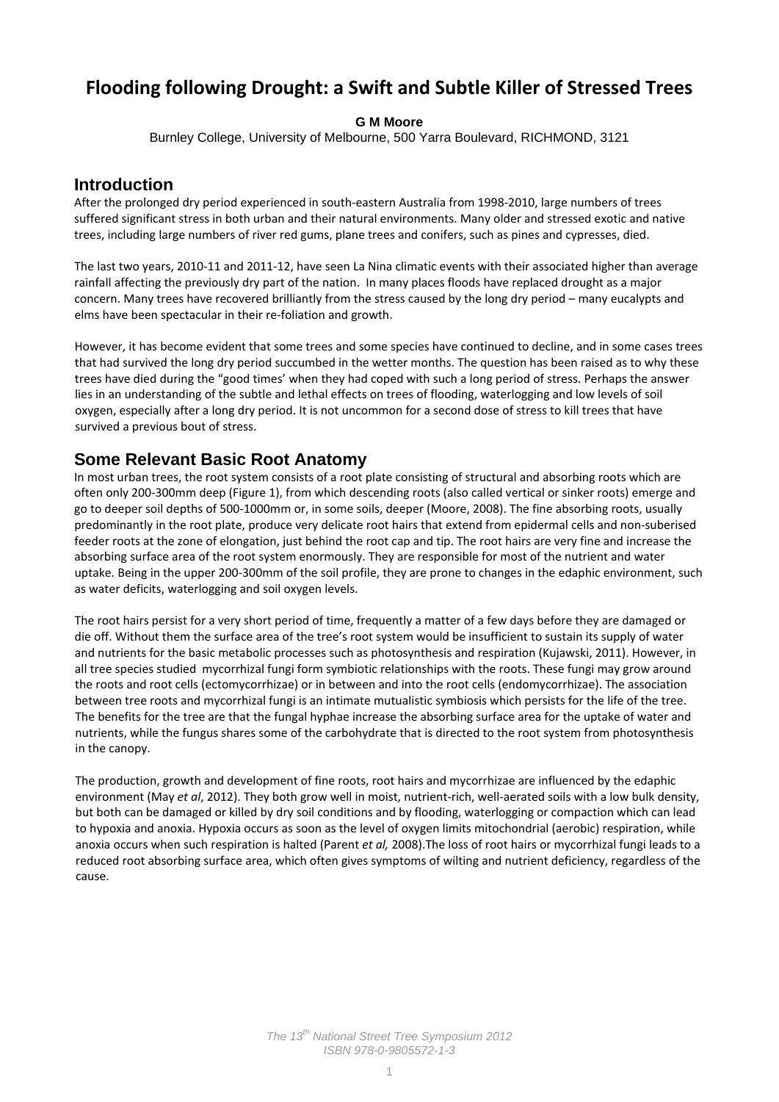# **Flooding following Drought: a Swift and Subtle Killer of Stressed Trees**

#### **G M Moore**

Burnley College, University of Melbourne, 500 Yarra Boulevard, RICHMOND, 3121

#### **Introduction**

After the prolonged dry period experienced in south‐eastern Australia from 1998‐2010, large numbers of trees suffered significant stress in both urban and their natural environments. Many older and stressed exotic and native trees, including large numbers of river red gums, plane trees and conifers, such as pines and cypresses, died.

The last two years, 2010‐11 and 2011‐12, have seen La Nina climatic events with their associated higher than average rainfall affecting the previously dry part of the nation. In many places floods have replaced drought as a major concern. Many trees have recovered brilliantly from the stress caused by the long dry period – many eucalypts and elms have been spectacular in their re-foliation and growth.

However, it has become evident that some trees and some species have continued to decline, and in some cases trees that had survived the long dry period succumbed in the wetter months. The question has been raised as to why these trees have died during the "good times' when they had coped with such a long period of stress. Perhaps the answer lies in an understanding of the subtle and lethal effects on trees of flooding, waterlogging and low levels of soil oxygen, especially after a long dry period. It is not uncommon for a second dose of stress to kill trees that have survived a previous bout of stress.

#### **Some Relevant Basic Root Anatomy**

In most urban trees, the root system consists of a root plate consisting of structural and absorbing roots which are often only 200‐300mm deep (Figure 1), from which descending roots (also called vertical or sinker roots) emerge and go to deeper soil depths of 500‐1000mm or, in some soils, deeper (Moore, 2008). The fine absorbing roots, usually predominantly in the root plate, produce very delicate root hairs that extend from epidermal cells and non‐suberised feeder roots at the zone of elongation, just behind the root cap and tip. The root hairs are very fine and increase the absorbing surface area of the root system enormously. They are responsible for most of the nutrient and water uptake. Being in the upper 200‐300mm of the soil profile, they are prone to changes in the edaphic environment, such as water deficits, waterlogging and soil oxygen levels.

The root hairs persist for a very short period of time, frequently a matter of a few days before they are damaged or die off. Without them the surface area of the tree's root system would be insufficient to sustain its supply of water and nutrients for the basic metabolic processes such as photosynthesis and respiration (Kujawski, 2011). However, in all tree species studied mycorrhizal fungi form symbiotic relationships with the roots. These fungi may grow around the roots and root cells (ectomycorrhizae) or in between and into the root cells (endomycorrhizae). The association between tree roots and mycorrhizal fungi is an intimate mutualistic symbiosis which persists for the life of the tree. The benefits for the tree are that the fungal hyphae increase the absorbing surface area for the uptake of water and nutrients, while the fungus shares some of the carbohydrate that is directed to the root system from photosynthesis in the canopy.

The production, growth and development of fine roots, root hairs and mycorrhizae are influenced by the edaphic environment (May *et al*, 2012). They both grow well in moist, nutrient‐rich, well‐aerated soils with a low bulk density, but both can be damaged or killed by dry soil conditions and by flooding, waterlogging or compaction which can lead to hypoxia and anoxia. Hypoxia occurs as soon as the level of oxygen limits mitochondrial (aerobic) respiration, while anoxia occurs when such respiration is halted (Parent *et al,* 2008).The loss of root hairs or mycorrhizal fungi leads to a reduced root absorbing surface area, which often gives symptoms of wilting and nutrient deficiency, regardless of the cause.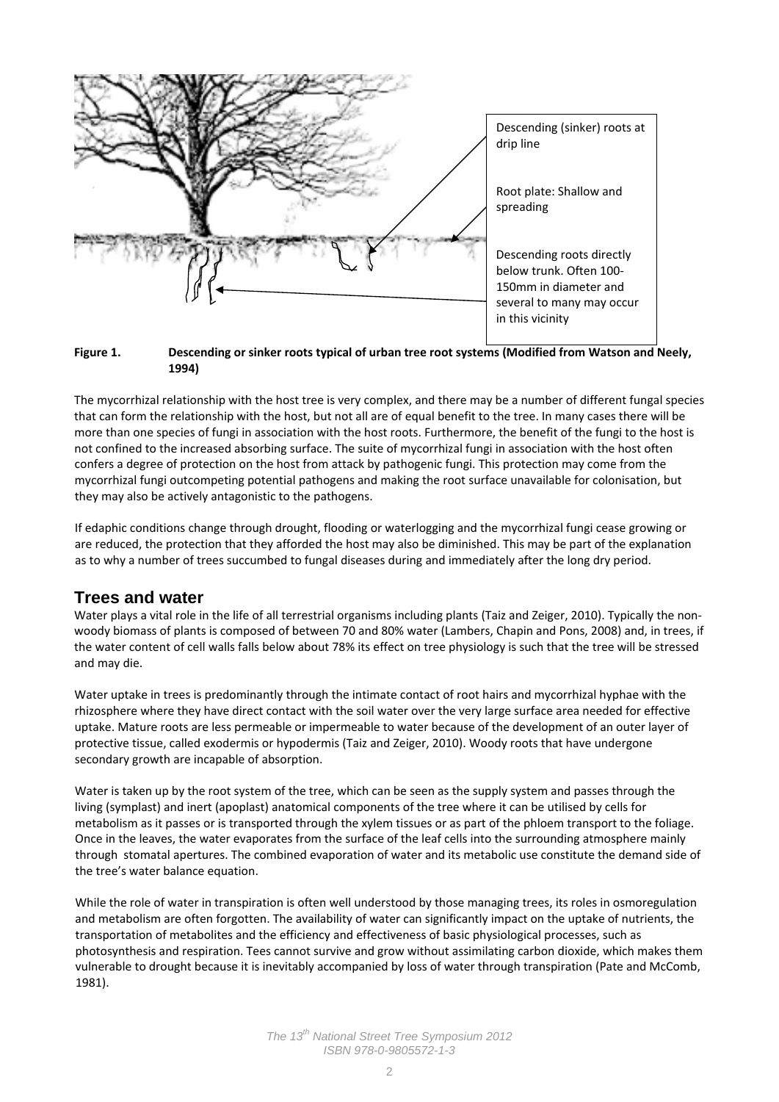

**<sup>1994)</sup>** 

Figure 1. Descending or sinker roots typical of urban tree root systems (Modified from Watson and Neely.

The mycorrhizal relationship with the host tree is very complex, and there may be a number of different fungal species that can form the relationship with the host, but not all are of equal benefit to the tree. In many cases there will be more than one species of fungi in association with the host roots. Furthermore, the benefit of the fungi to the host is not confined to the increased absorbing surface. The suite of mycorrhizal fungi in association with the host often confers a degree of protection on the host from attack by pathogenic fungi. This protection may come from the mycorrhizal fungi outcompeting potential pathogens and making the root surface unavailable for colonisation, but they may also be actively antagonistic to the pathogens.

If edaphic conditions change through drought, flooding or waterlogging and the mycorrhizal fungi cease growing or are reduced, the protection that they afforded the host may also be diminished. This may be part of the explanation as to why a number of trees succumbed to fungal diseases during and immediately after the long dry period.

### **Trees and water**

Water plays a vital role in the life of all terrestrial organisms including plants (Taiz and Zeiger, 2010). Typically the nonwoody biomass of plants is composed of between 70 and 80% water (Lambers, Chapin and Pons, 2008) and, in trees, if the water content of cell walls falls below about 78% its effect on tree physiology is such that the tree will be stressed and may die.

Water uptake in trees is predominantly through the intimate contact of root hairs and mycorrhizal hyphae with the rhizosphere where they have direct contact with the soil water over the very large surface area needed for effective uptake. Mature roots are less permeable or impermeable to water because of the development of an outer layer of protective tissue, called exodermis or hypodermis (Taiz and Zeiger, 2010). Woody roots that have undergone secondary growth are incapable of absorption.

Water is taken up by the root system of the tree, which can be seen as the supply system and passes through the living (symplast) and inert (apoplast) anatomical components of the tree where it can be utilised by cells for metabolism as it passes or is transported through the xylem tissues or as part of the phloem transport to the foliage. Once in the leaves, the water evaporates from the surface of the leaf cells into the surrounding atmosphere mainly through stomatal apertures. The combined evaporation of water and its metabolic use constitute the demand side of the tree's water balance equation.

While the role of water in transpiration is often well understood by those managing trees, its roles in osmoregulation and metabolism are often forgotten. The availability of water can significantly impact on the uptake of nutrients, the transportation of metabolites and the efficiency and effectiveness of basic physiological processes, such as photosynthesis and respiration. Tees cannot survive and grow without assimilating carbon dioxide, which makes them vulnerable to drought because it is inevitably accompanied by loss of water through transpiration (Pate and McComb, 1981).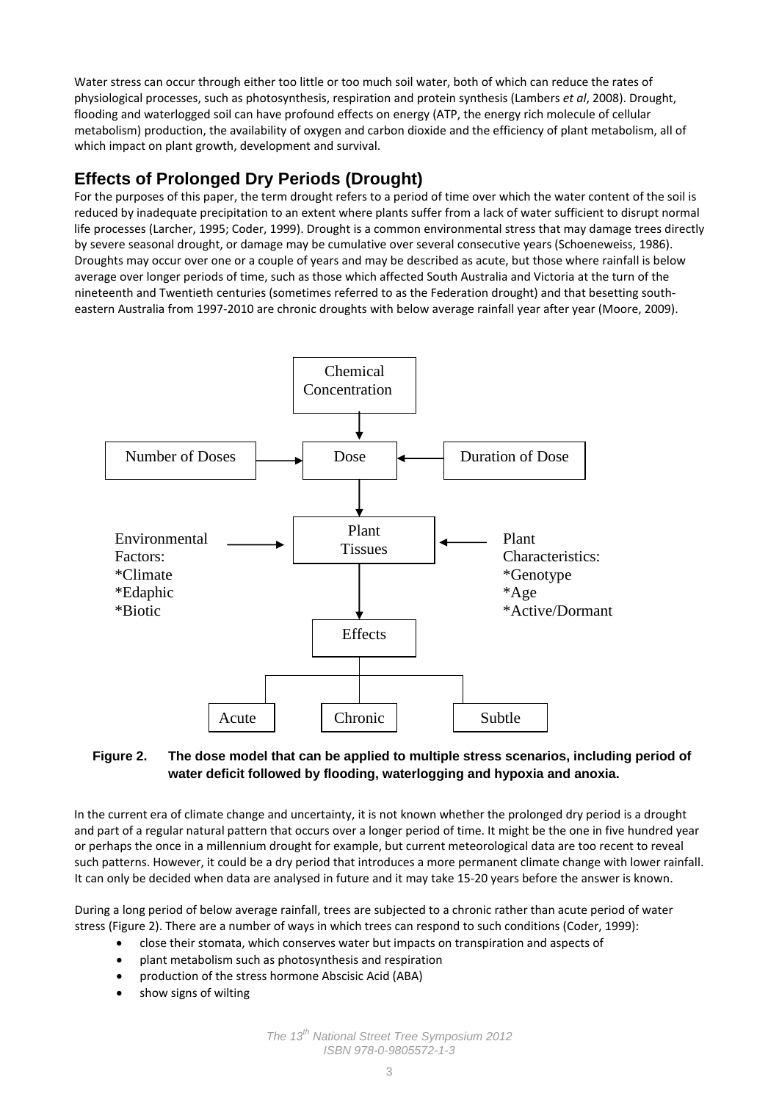Water stress can occur through either too little or too much soil water, both of which can reduce the rates of physiological processes, such as photosynthesis, respiration and protein synthesis (Lambers *et al*, 2008). Drought, flooding and waterlogged soil can have profound effects on energy (ATP, the energy rich molecule of cellular metabolism) production, the availability of oxygen and carbon dioxide and the efficiency of plant metabolism, all of which impact on plant growth, development and survival.

### **Effects of Prolonged Dry Periods (Drought)**

For the purposes of this paper, the term drought refers to a period of time over which the water content of the soil is reduced by inadequate precipitation to an extent where plants suffer from a lack of water sufficient to disrupt normal life processes (Larcher, 1995; Coder, 1999). Drought is a common environmental stress that may damage trees directly by severe seasonal drought, or damage may be cumulative over several consecutive years (Schoeneweiss, 1986). Droughts may occur over one or a couple of years and may be described as acute, but those where rainfall is below average over longer periods of time, such as those which affected South Australia and Victoria at the turn of the nineteenth and Twentieth centuries (sometimes referred to as the Federation drought) and that besetting south‐ eastern Australia from 1997‐2010 are chronic droughts with below average rainfall year after year (Moore, 2009).



#### **Figure 2. The dose model that can be applied to multiple stress scenarios, including period of water deficit followed by flooding, waterlogging and hypoxia and anoxia.**

In the current era of climate change and uncertainty, it is not known whether the prolonged dry period is a drought and part of a regular natural pattern that occurs over a longer period of time. It might be the one in five hundred year or perhaps the once in a millennium drought for example, but current meteorological data are too recent to reveal such patterns. However, it could be a dry period that introduces a more permanent climate change with lower rainfall. It can only be decided when data are analysed in future and it may take 15‐20 years before the answer is known.

During a long period of below average rainfall, trees are subjected to a chronic rather than acute period of water stress (Figure 2). There are a number of ways in which trees can respond to such conditions (Coder, 1999):

- close their stomata, which conserves water but impacts on transpiration and aspects of
- plant metabolism such as photosynthesis and respiration
- production of the stress hormone Abscisic Acid (ABA)
- show signs of wilting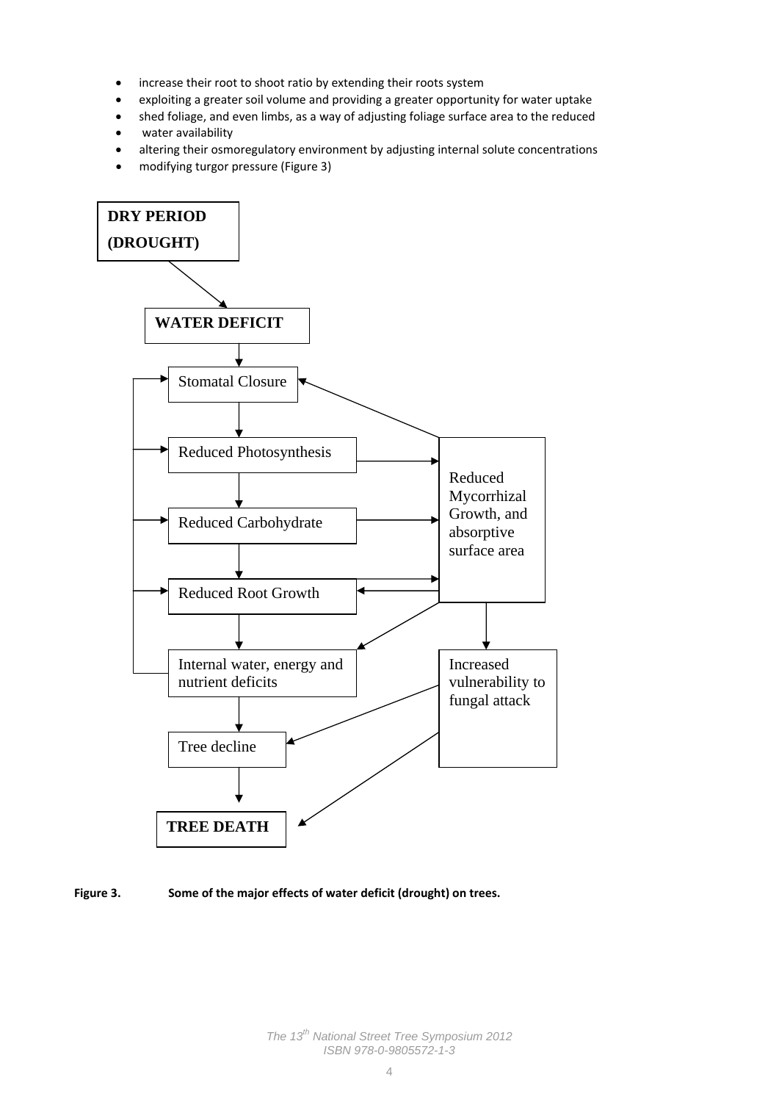- increase their root to shoot ratio by extending their roots system
- exploiting a greater soil volume and providing a greater opportunity for water uptake
- shed foliage, and even limbs, as a way of adjusting foliage surface area to the reduced
- water availability
- altering their osmoregulatory environment by adjusting internal solute concentrations
- modifying turgor pressure (Figure 3)



#### **Figure 3. Some of the major effects of water deficit (drought) on trees.**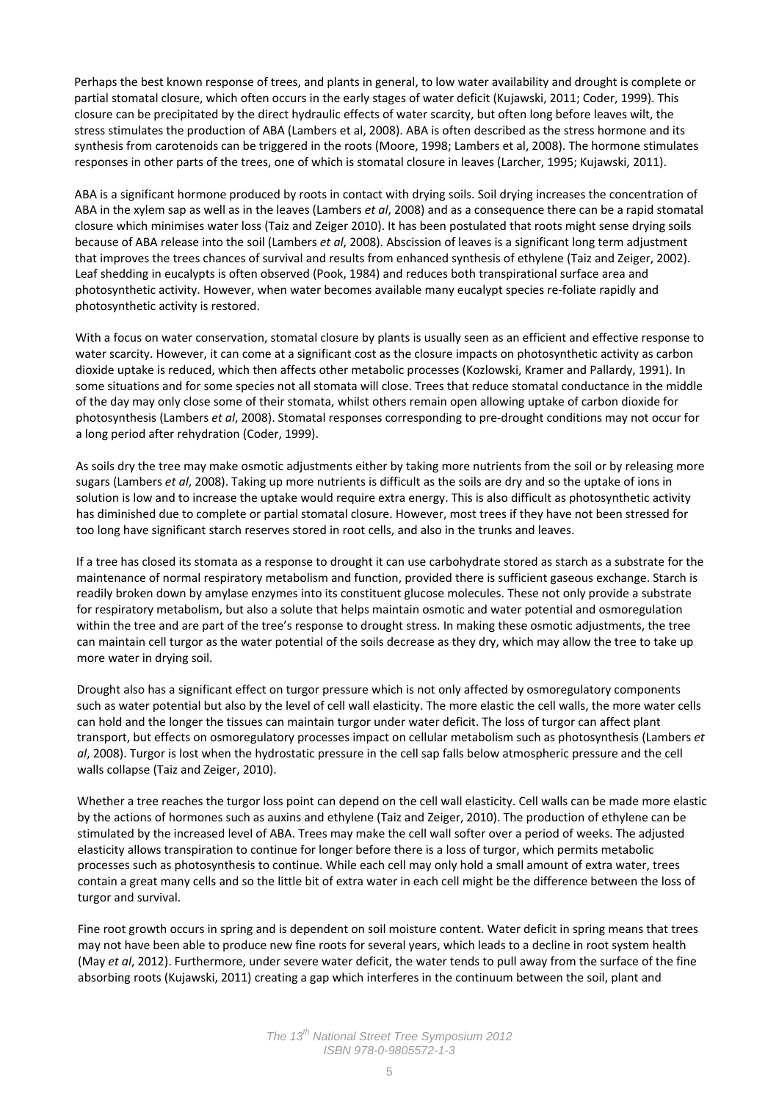Perhaps the best known response of trees, and plants in general, to low water availability and drought is complete or partial stomatal closure, which often occurs in the early stages of water deficit (Kujawski, 2011; Coder, 1999). This closure can be precipitated by the direct hydraulic effects of water scarcity, but often long before leaves wilt, the stress stimulates the production of ABA (Lambers et al, 2008). ABA is often described as the stress hormone and its synthesis from carotenoids can be triggered in the roots (Moore, 1998; Lambers et al, 2008). The hormone stimulates responses in other parts of the trees, one of which is stomatal closure in leaves (Larcher, 1995; Kujawski, 2011).

ABA is a significant hormone produced by roots in contact with drying soils. Soil drying increases the concentration of ABA in the xylem sap as well as in the leaves (Lambers *et al*, 2008) and as a consequence there can be a rapid stomatal closure which minimises water loss (Taiz and Zeiger 2010). It has been postulated that roots might sense drying soils because of ABA release into the soil (Lambers *et al*, 2008). Abscission of leaves is a significant long term adjustment that improves the trees chances of survival and results from enhanced synthesis of ethylene (Taiz and Zeiger, 2002). Leaf shedding in eucalypts is often observed (Pook, 1984) and reduces both transpirational surface area and photosynthetic activity. However, when water becomes available many eucalypt species re‐foliate rapidly and photosynthetic activity is restored.

With a focus on water conservation, stomatal closure by plants is usually seen as an efficient and effective response to water scarcity. However, it can come at a significant cost as the closure impacts on photosynthetic activity as carbon dioxide uptake is reduced, which then affects other metabolic processes (Kozlowski, Kramer and Pallardy, 1991). In some situations and for some species not all stomata will close. Trees that reduce stomatal conductance in the middle of the day may only close some of their stomata, whilst others remain open allowing uptake of carbon dioxide for photosynthesis (Lambers *et al*, 2008). Stomatal responses corresponding to pre‐drought conditions may not occur for a long period after rehydration (Coder, 1999).

As soils dry the tree may make osmotic adjustments either by taking more nutrients from the soil or by releasing more sugars (Lambers *et al*, 2008). Taking up more nutrients is difficult as the soils are dry and so the uptake of ions in solution is low and to increase the uptake would require extra energy. This is also difficult as photosynthetic activity has diminished due to complete or partial stomatal closure. However, most trees if they have not been stressed for too long have significant starch reserves stored in root cells, and also in the trunks and leaves.

If a tree has closed its stomata as a response to drought it can use carbohydrate stored as starch as a substrate for the maintenance of normal respiratory metabolism and function, provided there is sufficient gaseous exchange. Starch is readily broken down by amylase enzymes into its constituent glucose molecules. These not only provide a substrate for respiratory metabolism, but also a solute that helps maintain osmotic and water potential and osmoregulation within the tree and are part of the tree's response to drought stress. In making these osmotic adjustments, the tree can maintain cell turgor as the water potential of the soils decrease as they dry, which may allow the tree to take up more water in drying soil.

Drought also has a significant effect on turgor pressure which is not only affected by osmoregulatory components such as water potential but also by the level of cell wall elasticity. The more elastic the cell walls, the more water cells can hold and the longer the tissues can maintain turgor under water deficit. The loss of turgor can affect plant transport, but effects on osmoregulatory processes impact on cellular metabolism such as photosynthesis (Lambers *et al*, 2008). Turgor is lost when the hydrostatic pressure in the cell sap falls below atmospheric pressure and the cell walls collapse (Taiz and Zeiger, 2010).

Whether a tree reaches the turgor loss point can depend on the cell wall elasticity. Cell walls can be made more elastic by the actions of hormones such as auxins and ethylene (Taiz and Zeiger, 2010). The production of ethylene can be stimulated by the increased level of ABA. Trees may make the cell wall softer over a period of weeks. The adjusted elasticity allows transpiration to continue for longer before there is a loss of turgor, which permits metabolic processes such as photosynthesis to continue. While each cell may only hold a small amount of extra water, trees contain a great many cells and so the little bit of extra water in each cell might be the difference between the loss of turgor and survival.

Fine root growth occurs in spring and is dependent on soil moisture content. Water deficit in spring means that trees may not have been able to produce new fine roots for several years, which leads to a decline in root system health (May *et al*, 2012). Furthermore, under severe water deficit, the water tends to pull away from the surface of the fine absorbing roots (Kujawski, 2011) creating a gap which interferes in the continuum between the soil, plant and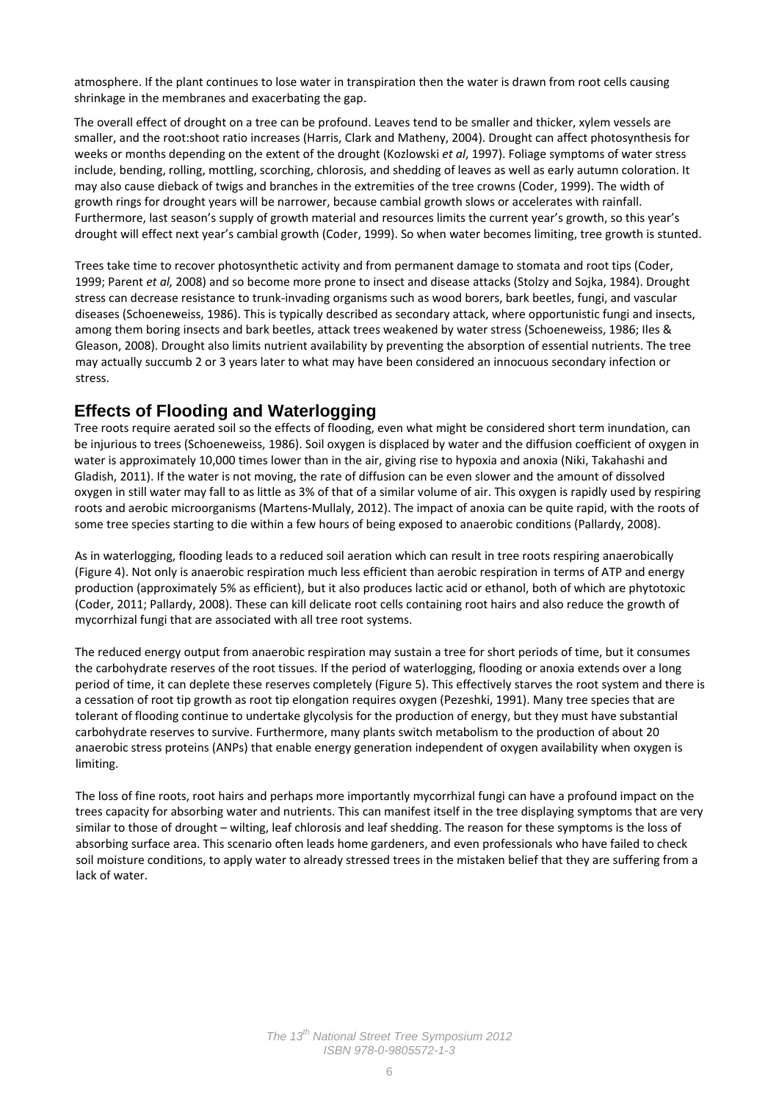atmosphere. If the plant continues to lose water in transpiration then the water is drawn from root cells causing shrinkage in the membranes and exacerbating the gap.

The overall effect of drought on a tree can be profound. Leaves tend to be smaller and thicker, xylem vessels are smaller, and the root:shoot ratio increases (Harris, Clark and Matheny, 2004). Drought can affect photosynthesis for weeks or months depending on the extent of the drought (Kozlowski *et al*, 1997). Foliage symptoms of water stress include, bending, rolling, mottling, scorching, chlorosis, and shedding of leaves as well as early autumn coloration. It may also cause dieback of twigs and branches in the extremities of the tree crowns (Coder, 1999). The width of growth rings for drought years will be narrower, because cambial growth slows or accelerates with rainfall. Furthermore, last season's supply of growth material and resources limits the current year's growth, so this year's drought will effect next year's cambial growth (Coder, 1999). So when water becomes limiting, tree growth is stunted.

Trees take time to recover photosynthetic activity and from permanent damage to stomata and root tips (Coder, 1999; Parent *et al,* 2008) and so become more prone to insect and disease attacks (Stolzy and Sojka, 1984). Drought stress can decrease resistance to trunk‐invading organisms such as wood borers, bark beetles, fungi, and vascular diseases (Schoeneweiss, 1986). This is typically described as secondary attack, where opportunistic fungi and insects, among them boring insects and bark beetles, attack trees weakened by water stress (Schoeneweiss, 1986; Iles & Gleason, 2008). Drought also limits nutrient availability by preventing the absorption of essential nutrients. The tree may actually succumb 2 or 3 years later to what may have been considered an innocuous secondary infection or stress.

### **Effects of Flooding and Waterlogging**

Tree roots require aerated soil so the effects of flooding, even what might be considered short term inundation, can be injurious to trees (Schoeneweiss, 1986). Soil oxygen is displaced by water and the diffusion coefficient of oxygen in water is approximately 10,000 times lower than in the air, giving rise to hypoxia and anoxia (Niki, Takahashi and Gladish, 2011). If the water is not moving, the rate of diffusion can be even slower and the amount of dissolved oxygen in still water may fall to as little as 3% of that of a similar volume of air. This oxygen is rapidly used by respiring roots and aerobic microorganisms (Martens‐Mullaly, 2012). The impact of anoxia can be quite rapid, with the roots of some tree species starting to die within a few hours of being exposed to anaerobic conditions (Pallardy, 2008).

As in waterlogging, flooding leads to a reduced soil aeration which can result in tree roots respiring anaerobically (Figure 4). Not only is anaerobic respiration much less efficient than aerobic respiration in terms of ATP and energy production (approximately 5% as efficient), but it also produces lactic acid or ethanol, both of which are phytotoxic (Coder, 2011; Pallardy, 2008). These can kill delicate root cells containing root hairs and also reduce the growth of mycorrhizal fungi that are associated with all tree root systems.

The reduced energy output from anaerobic respiration may sustain a tree for short periods of time, but it consumes the carbohydrate reserves of the root tissues. If the period of waterlogging, flooding or anoxia extends over a long period of time, it can deplete these reserves completely (Figure 5). This effectively starves the root system and there is a cessation of root tip growth as root tip elongation requires oxygen (Pezeshki, 1991). Many tree species that are tolerant of flooding continue to undertake glycolysis for the production of energy, but they must have substantial carbohydrate reserves to survive. Furthermore, many plants switch metabolism to the production of about 20 anaerobic stress proteins (ANPs) that enable energy generation independent of oxygen availability when oxygen is limiting.

The loss of fine roots, root hairs and perhaps more importantly mycorrhizal fungi can have a profound impact on the trees capacity for absorbing water and nutrients. This can manifest itself in the tree displaying symptoms that are very similar to those of drought – wilting, leaf chlorosis and leaf shedding. The reason for these symptoms is the loss of absorbing surface area. This scenario often leads home gardeners, and even professionals who have failed to check soil moisture conditions, to apply water to already stressed trees in the mistaken belief that they are suffering from a lack of water.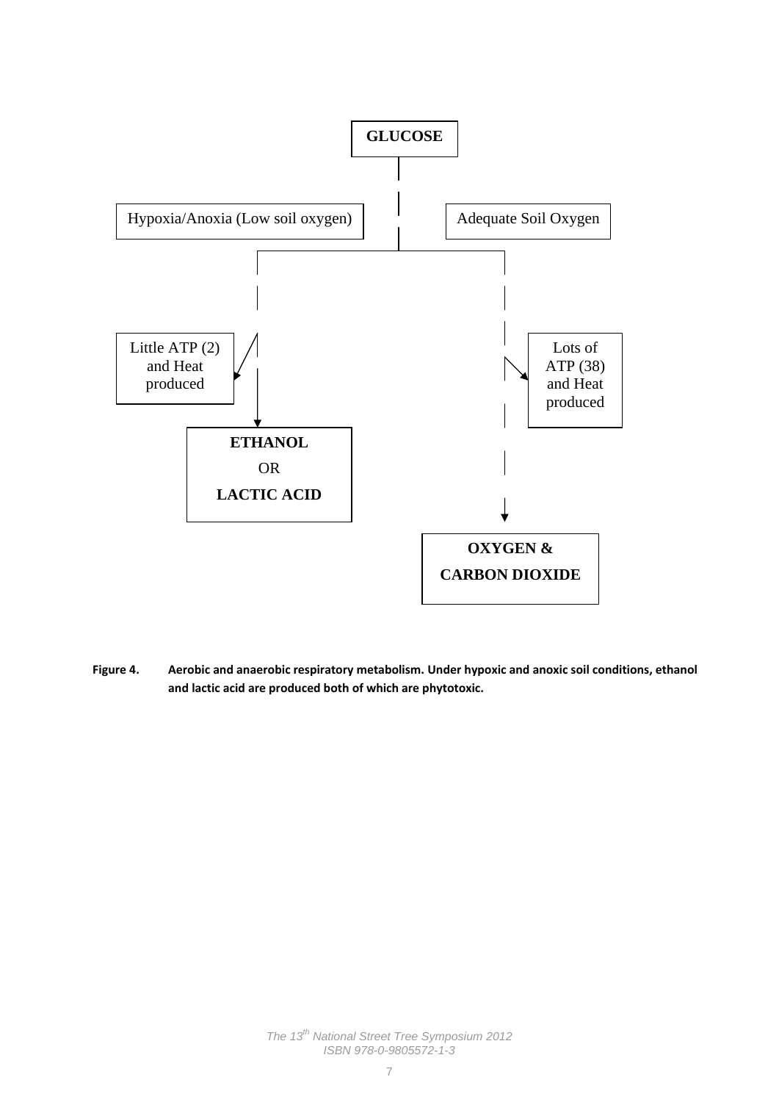

**Figure 4. Aerobic and anaerobic respiratory metabolism. Under hypoxic and anoxic soil conditions, ethanol and lactic acid are produced both of which are phytotoxic.**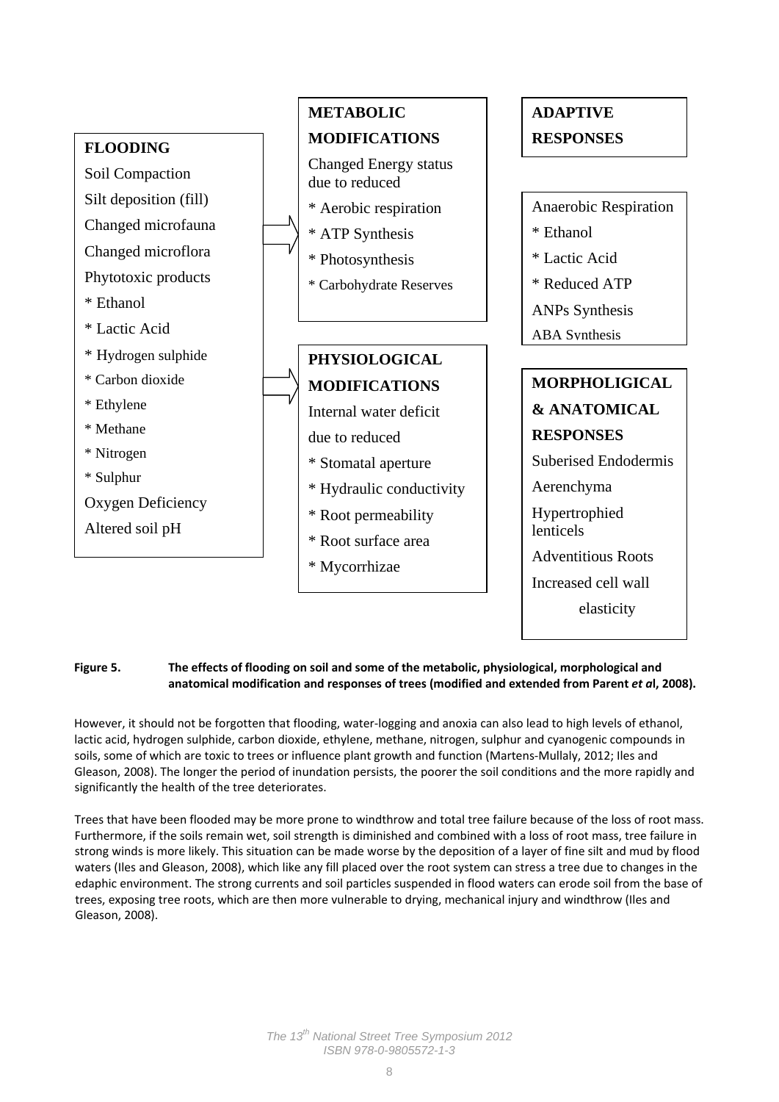

#### **Figure 5. The effects of flooding on soil and some of the metabolic, physiological, morphological and anatomical modification and responses of trees (modified and extended from Parent** *et a***l, 2008).**

However, it should not be forgotten that flooding, water‐logging and anoxia can also lead to high levels of ethanol, lactic acid, hydrogen sulphide, carbon dioxide, ethylene, methane, nitrogen, sulphur and cyanogenic compounds in soils, some of which are toxic to trees or influence plant growth and function (Martens‐Mullaly, 2012; Iles and Gleason, 2008). The longer the period of inundation persists, the poorer the soil conditions and the more rapidly and significantly the health of the tree deteriorates.

Trees that have been flooded may be more prone to windthrow and total tree failure because of the loss of root mass. Furthermore, if the soils remain wet, soil strength is diminished and combined with a loss of root mass, tree failure in strong winds is more likely. This situation can be made worse by the deposition of a layer of fine silt and mud by flood waters (Iles and Gleason, 2008), which like any fill placed over the root system can stress a tree due to changes in the edaphic environment. The strong currents and soil particles suspended in flood waters can erode soil from the base of trees, exposing tree roots, which are then more vulnerable to drying, mechanical injury and windthrow (Iles and Gleason, 2008).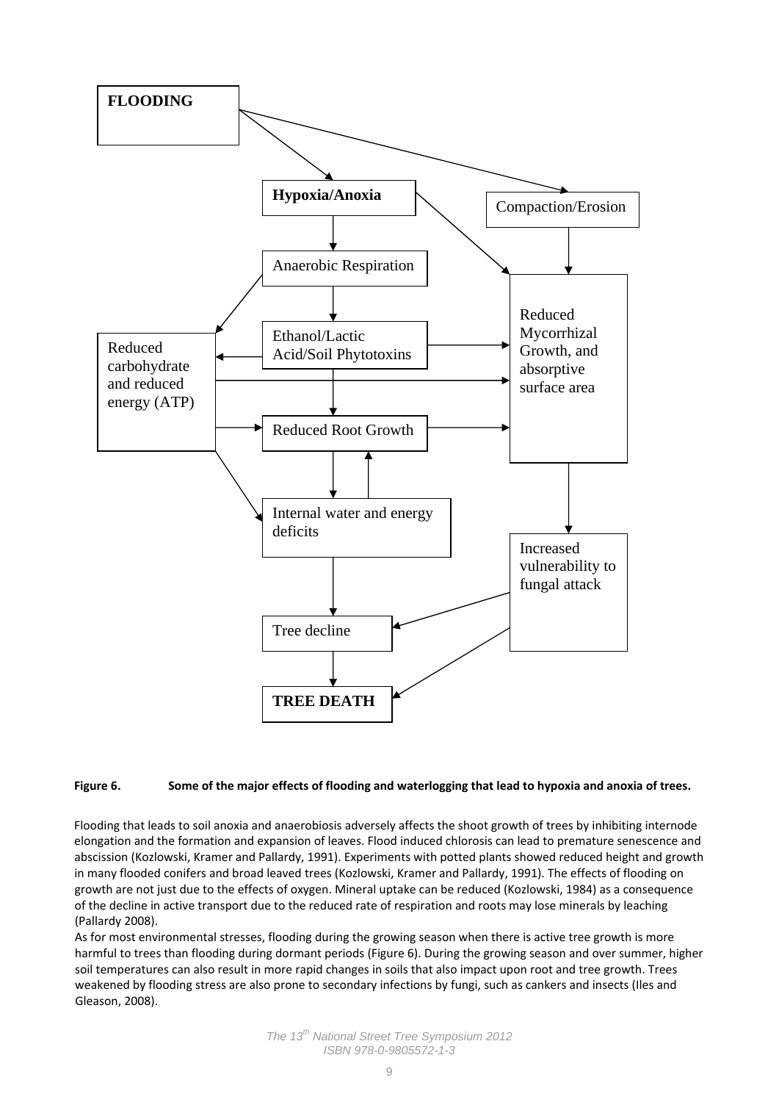

#### Figure 6. Some of the major effects of flooding and waterlogging that lead to hypoxia and anoxia of trees.

Flooding that leads to soil anoxia and anaerobiosis adversely affects the shoot growth of trees by inhibiting internode elongation and the formation and expansion of leaves. Flood induced chlorosis can lead to premature senescence and abscission (Kozlowski, Kramer and Pallardy, 1991). Experiments with potted plants showed reduced height and growth in many flooded conifers and broad leaved trees (Kozlowski, Kramer and Pallardy, 1991). The effects of flooding on growth are not just due to the effects of oxygen. Mineral uptake can be reduced (Kozlowski, 1984) as a consequence of the decline in active transport due to the reduced rate of respiration and roots may lose minerals by leaching (Pallardy 2008).

As for most environmental stresses, flooding during the growing season when there is active tree growth is more harmful to trees than flooding during dormant periods (Figure 6). During the growing season and over summer, higher soil temperatures can also result in more rapid changes in soils that also impact upon root and tree growth. Trees weakened by flooding stress are also prone to secondary infections by fungi, such as cankers and insects (Iles and Gleason, 2008).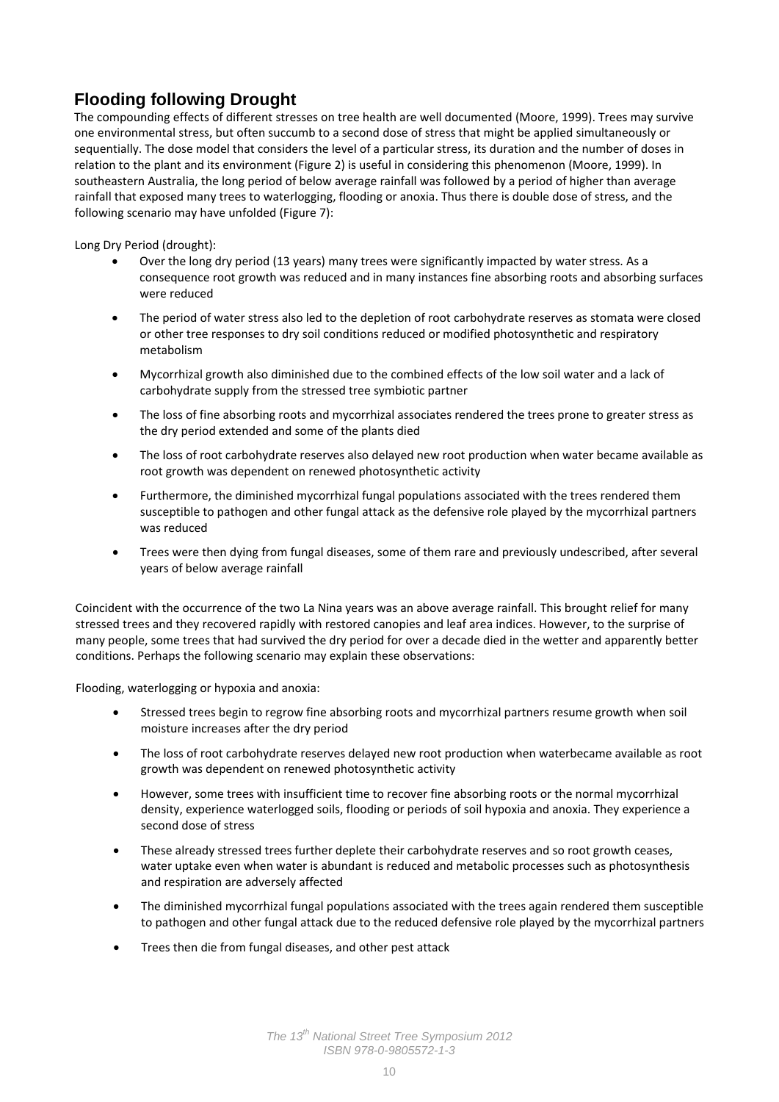# **Flooding following Drought**

The compounding effects of different stresses on tree health are well documented (Moore, 1999). Trees may survive one environmental stress, but often succumb to a second dose of stress that might be applied simultaneously or sequentially. The dose model that considers the level of a particular stress, its duration and the number of doses in relation to the plant and its environment (Figure 2) is useful in considering this phenomenon (Moore, 1999). In southeastern Australia, the long period of below average rainfall was followed by a period of higher than average rainfall that exposed many trees to waterlogging, flooding or anoxia. Thus there is double dose of stress, and the following scenario may have unfolded (Figure 7):

Long Dry Period (drought):

- Over the long dry period (13 years) many trees were significantly impacted by water stress. As a consequence root growth was reduced and in many instances fine absorbing roots and absorbing surfaces were reduced
- The period of water stress also led to the depletion of root carbohydrate reserves as stomata were closed or other tree responses to dry soil conditions reduced or modified photosynthetic and respiratory metabolism
- Mycorrhizal growth also diminished due to the combined effects of the low soil water and a lack of carbohydrate supply from the stressed tree symbiotic partner
- The loss of fine absorbing roots and mycorrhizal associates rendered the trees prone to greater stress as the dry period extended and some of the plants died
- The loss of root carbohydrate reserves also delayed new root production when water became available as root growth was dependent on renewed photosynthetic activity
- Furthermore, the diminished mycorrhizal fungal populations associated with the trees rendered them susceptible to pathogen and other fungal attack as the defensive role played by the mycorrhizal partners was reduced
- Trees were then dying from fungal diseases, some of them rare and previously undescribed, after several years of below average rainfall

Coincident with the occurrence of the two La Nina years was an above average rainfall. This brought relief for many stressed trees and they recovered rapidly with restored canopies and leaf area indices. However, to the surprise of many people, some trees that had survived the dry period for over a decade died in the wetter and apparently better conditions. Perhaps the following scenario may explain these observations:

Flooding, waterlogging or hypoxia and anoxia:

- Stressed trees begin to regrow fine absorbing roots and mycorrhizal partners resume growth when soil moisture increases after the dry period
- The loss of root carbohydrate reserves delayed new root production when waterbecame available as root growth was dependent on renewed photosynthetic activity
- However, some trees with insufficient time to recover fine absorbing roots or the normal mycorrhizal density, experience waterlogged soils, flooding or periods of soil hypoxia and anoxia. They experience a second dose of stress
- These already stressed trees further deplete their carbohydrate reserves and so root growth ceases, water uptake even when water is abundant is reduced and metabolic processes such as photosynthesis and respiration are adversely affected
- The diminished mycorrhizal fungal populations associated with the trees again rendered them susceptible to pathogen and other fungal attack due to the reduced defensive role played by the mycorrhizal partners
- Trees then die from fungal diseases, and other pest attack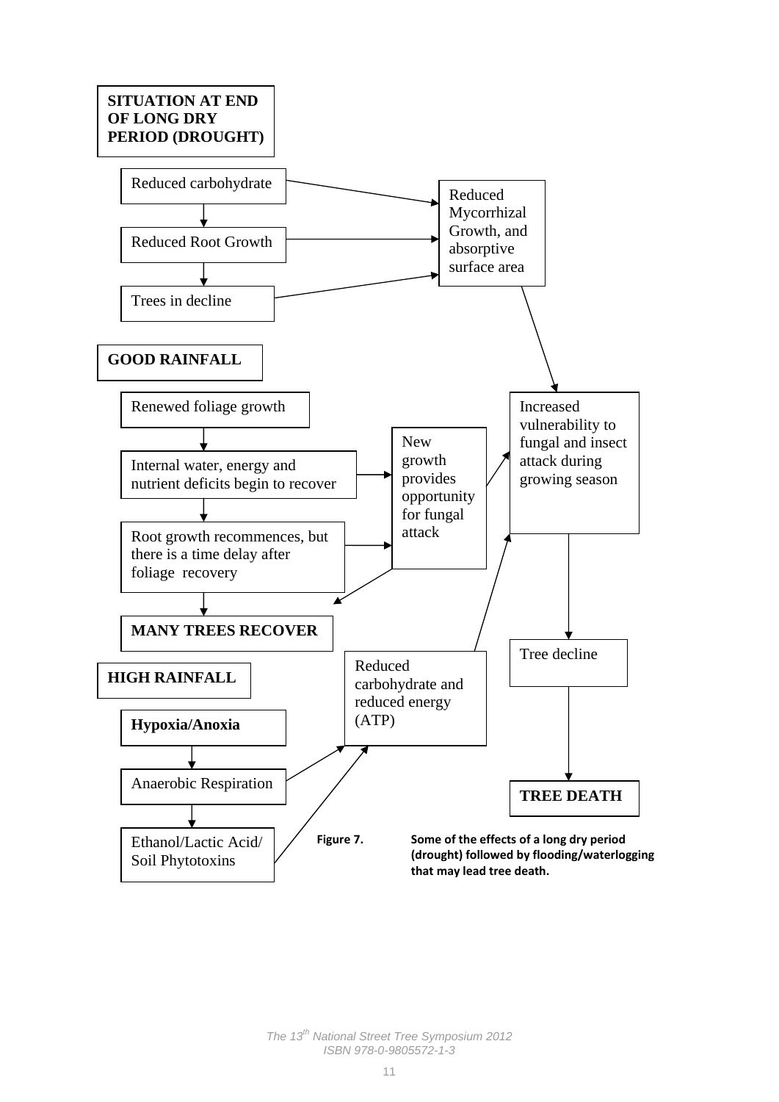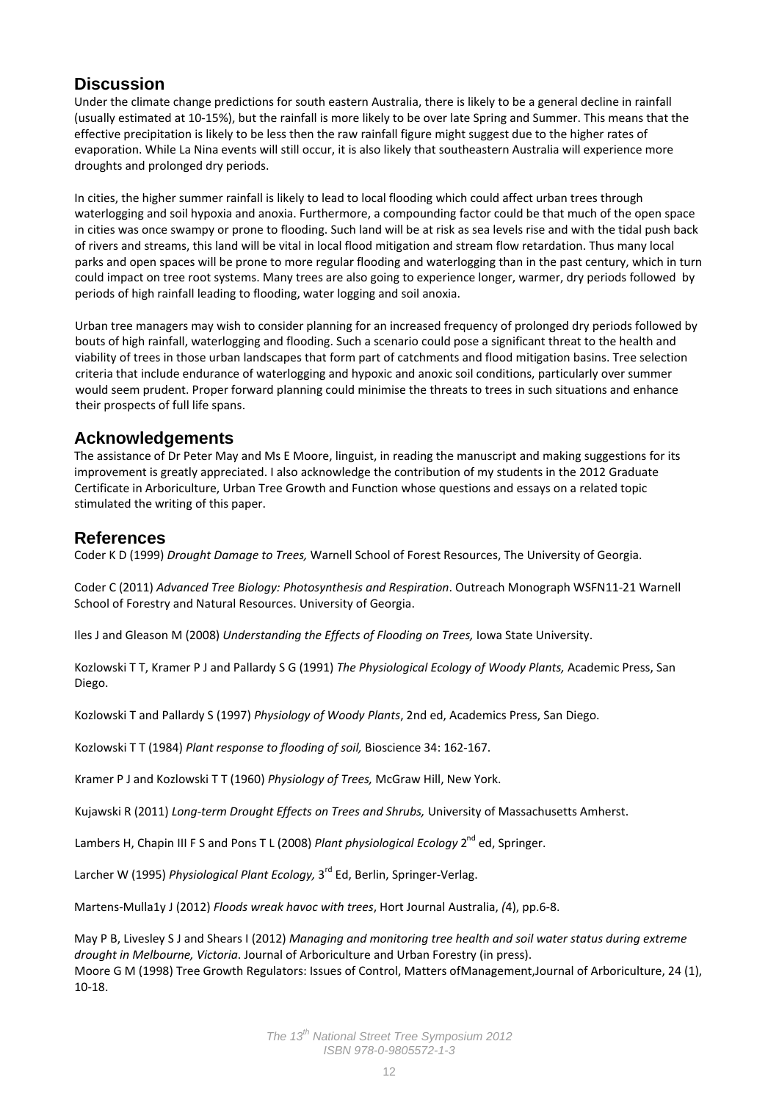## **Discussion**

Under the climate change predictions for south eastern Australia, there is likely to be a general decline in rainfall (usually estimated at 10‐15%), but the rainfall is more likely to be over late Spring and Summer. This means that the effective precipitation is likely to be less then the raw rainfall figure might suggest due to the higher rates of evaporation. While La Nina events will still occur, it is also likely that southeastern Australia will experience more droughts and prolonged dry periods.

In cities, the higher summer rainfall is likely to lead to local flooding which could affect urban trees through waterlogging and soil hypoxia and anoxia. Furthermore, a compounding factor could be that much of the open space in cities was once swampy or prone to flooding. Such land will be at risk as sea levels rise and with the tidal push back of rivers and streams, this land will be vital in local flood mitigation and stream flow retardation. Thus many local parks and open spaces will be prone to more regular flooding and waterlogging than in the past century, which in turn could impact on tree root systems. Many trees are also going to experience longer, warmer, dry periods followed by periods of high rainfall leading to flooding, water logging and soil anoxia.

Urban tree managers may wish to consider planning for an increased frequency of prolonged dry periods followed by bouts of high rainfall, waterlogging and flooding. Such a scenario could pose a significant threat to the health and viability of trees in those urban landscapes that form part of catchments and flood mitigation basins. Tree selection criteria that include endurance of waterlogging and hypoxic and anoxic soil conditions, particularly over summer would seem prudent. Proper forward planning could minimise the threats to trees in such situations and enhance their prospects of full life spans.

### **Acknowledgements**

The assistance of Dr Peter May and Ms E Moore, linguist, in reading the manuscript and making suggestions for its improvement is greatly appreciated. I also acknowledge the contribution of my students in the 2012 Graduate Certificate in Arboriculture, Urban Tree Growth and Function whose questions and essays on a related topic stimulated the writing of this paper.

### **References**

Coder K D (1999) *Drought Damage to Trees,* Warnell School of Forest Resources, The University of Georgia.

Coder C (2011) *Advanced Tree Biology: Photosynthesis and Respiration*. Outreach Monograph WSFN11‐21 Warnell School of Forestry and Natural Resources. University of Georgia.

Iles J and Gleason M (2008) *Understanding the Effects of Flooding on Trees,* Iowa State University.

Kozlowski T T, Kramer P J and Pallardy S G (1991) *The Physiological Ecology of Woody Plants,* Academic Press, San Diego.

Kozlowski T and Pallardy S (1997) *Physiology of Woody Plants*, 2nd ed, Academics Press, San Diego.

Kozlowski T T (1984) *Plant response to flooding of soil,* Bioscience 34: 162‐167.

Kramer P J and Kozlowski T T (1960) *Physiology of Trees,* McGraw Hill, New York.

Kujawski R (2011) *Long‐term Drought Effects on Trees and Shrubs,* University of Massachusetts Amherst.

Lambers H, Chapin III F S and Pons T L (2008) *Plant physiological Ecology* 2<sup>nd</sup> ed, Springer.

Larcher W (1995) *Physiological Plant Ecology,* 3rd Ed, Berlin, Springer‐Verlag.

Martens‐Mulla1y J (2012) *Floods wreak havoc with trees*, Hort Journal Australia, *(*4), pp.6‐8.

May P B, Livesley S J and Shears I (2012) *Managing and monitoring tree health and soil water status during extreme drought in Melbourne, Victoria*. Journal of Arboriculture and Urban Forestry (in press). Moore G M (1998) Tree Growth Regulators: Issues of Control, Matters ofManagement,Journal of Arboriculture, 24 (1), 10‐18.